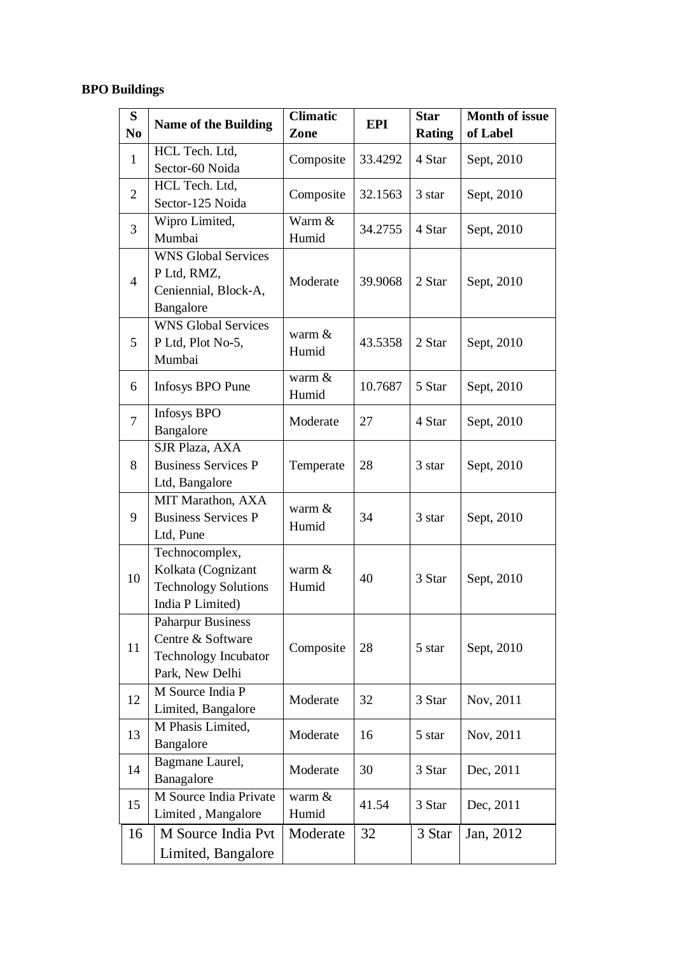## **BPO Buildings**

| S              | <b>Name of the Building</b>                                                                     | <b>Climatic</b>   | EPI     | <b>Star</b>   | <b>Month of issue</b> |
|----------------|-------------------------------------------------------------------------------------------------|-------------------|---------|---------------|-----------------------|
| N <sub>0</sub> |                                                                                                 | Zone              |         | <b>Rating</b> | of Label              |
| $\mathbf{1}$   | HCL Tech. Ltd,<br>Sector-60 Noida                                                               | Composite         | 33.4292 | 4 Star        | Sept, 2010            |
| $\overline{2}$ | HCL Tech. Ltd,<br>Sector-125 Noida                                                              | Composite         | 32.1563 | 3 star        | Sept, 2010            |
| 3              | Wipro Limited,<br>Mumbai                                                                        | Warm &<br>Humid   | 34.2755 | 4 Star        | Sept, 2010            |
| $\overline{4}$ | <b>WNS Global Services</b><br>P Ltd, RMZ,<br>Ceniennial, Block-A,<br>Bangalore                  | Moderate          | 39.9068 | 2 Star        | Sept, 2010            |
| 5              | <b>WNS Global Services</b><br>P Ltd, Plot No-5,<br>Mumbai                                       | warm $&$<br>Humid | 43.5358 | 2 Star        | Sept, 2010            |
| 6              | Infosys BPO Pune                                                                                | warm &<br>Humid   | 10.7687 | 5 Star        | Sept, 2010            |
| $\tau$         | <b>Infosys BPO</b><br>Bangalore                                                                 | Moderate          | 27      | 4 Star        | Sept, 2010            |
| 8              | SJR Plaza, AXA<br><b>Business Services P</b><br>Ltd, Bangalore                                  | Temperate         | 28      | 3 star        | Sept, 2010            |
| 9              | MIT Marathon, AXA<br><b>Business Services P</b><br>Ltd, Pune                                    | warm $&$<br>Humid | 34      | 3 star        | Sept, 2010            |
| 10             | Technocomplex,<br>Kolkata (Cognizant<br><b>Technology Solutions</b><br>India P Limited)         | warm $&$<br>Humid | 40      | 3 Star        | Sept, 2010            |
| 11             | <b>Paharpur Business</b><br>Centre & Software<br><b>Technology Incubator</b><br>Park, New Delhi | Composite         | 28      | 5 star        | Sept, 2010            |
| 12             | M Source India P<br>Limited, Bangalore                                                          | Moderate          | 32      | 3 Star        | Nov, 2011             |
| 13             | M Phasis Limited,<br>Bangalore                                                                  | Moderate          | 16      | 5 star        | Nov, 2011             |
| 14             | Bagmane Laurel,<br>Banagalore                                                                   | Moderate          | 30      | 3 Star        | Dec, 2011             |
| 15             | M Source India Private<br>Limited, Mangalore                                                    | warm $&$<br>Humid | 41.54   | 3 Star        | Dec, 2011             |
| 16             | M Source India Pvt<br>Limited, Bangalore                                                        | Moderate          | 32      | 3 Star        | Jan, 2012             |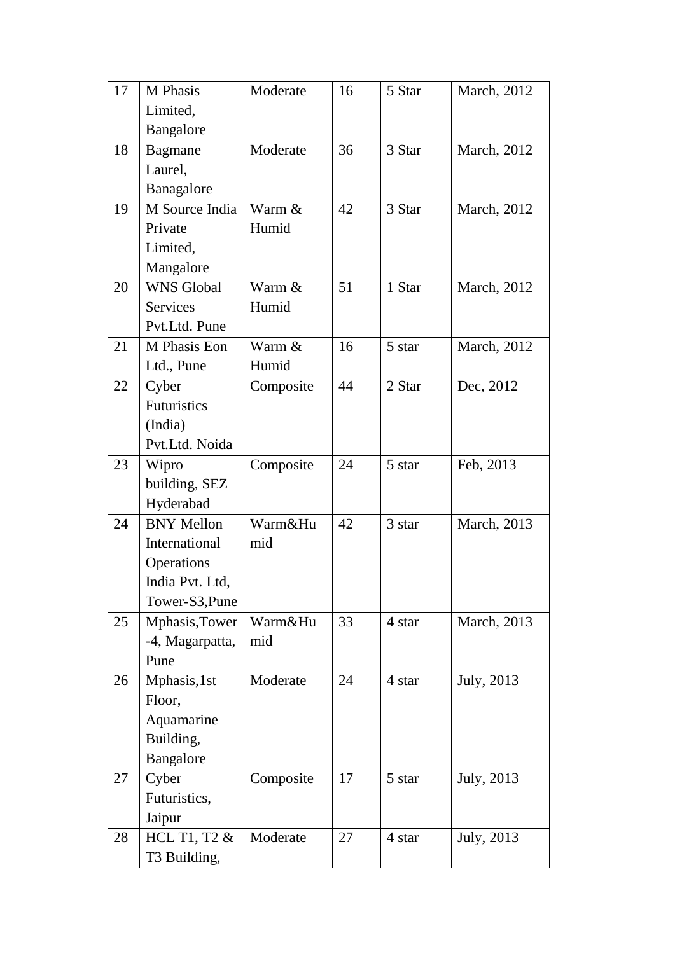| 17 | M Phasis           | Moderate  | 16 | 5 Star | March, 2012 |
|----|--------------------|-----------|----|--------|-------------|
|    | Limited,           |           |    |        |             |
|    | Bangalore          |           |    |        |             |
| 18 | <b>Bagmane</b>     | Moderate  | 36 | 3 Star | March, 2012 |
|    | Laurel,            |           |    |        |             |
|    | Banagalore         |           |    |        |             |
| 19 | M Source India     | Warm &    | 42 | 3 Star | March, 2012 |
|    | Private            | Humid     |    |        |             |
|    | Limited,           |           |    |        |             |
|    | Mangalore          |           |    |        |             |
| 20 | <b>WNS Global</b>  | Warm &    | 51 | 1 Star | March, 2012 |
|    | <b>Services</b>    | Humid     |    |        |             |
|    | Pvt.Ltd. Pune      |           |    |        |             |
| 21 | M Phasis Eon       | Warm &    | 16 | 5 star | March, 2012 |
|    | Ltd., Pune         | Humid     |    |        |             |
| 22 | Cyber              | Composite | 44 | 2 Star | Dec, 2012   |
|    | <b>Futuristics</b> |           |    |        |             |
|    | (India)            |           |    |        |             |
|    | Pvt.Ltd. Noida     |           |    |        |             |
| 23 | Wipro              | Composite | 24 | 5 star | Feb, 2013   |
|    | building, SEZ      |           |    |        |             |
|    | Hyderabad          |           |    |        |             |
| 24 | <b>BNY Mellon</b>  | Warm&Hu   | 42 | 3 star | March, 2013 |
|    | International      | mid       |    |        |             |
|    | Operations         |           |    |        |             |
|    | India Pvt. Ltd,    |           |    |        |             |
|    | Tower-S3, Pune     |           |    |        |             |
| 25 | Mphasis, Tower     | Warm&Hu   | 33 | 4 star | March, 2013 |
|    | -4, Magarpatta,    | mid       |    |        |             |
|    | Pune               |           |    |        |             |
| 26 | Mphasis, 1st       | Moderate  | 24 | 4 star | July, 2013  |
|    | Floor,             |           |    |        |             |
|    | Aquamarine         |           |    |        |             |
|    | Building,          |           |    |        |             |
|    | Bangalore          |           |    |        |             |
| 27 | Cyber              | Composite | 17 | 5 star | July, 2013  |
|    | Futuristics,       |           |    |        |             |
|    | Jaipur             |           |    |        |             |
| 28 | HCL T1, T2 &       | Moderate  | 27 | 4 star | July, 2013  |
|    | T3 Building,       |           |    |        |             |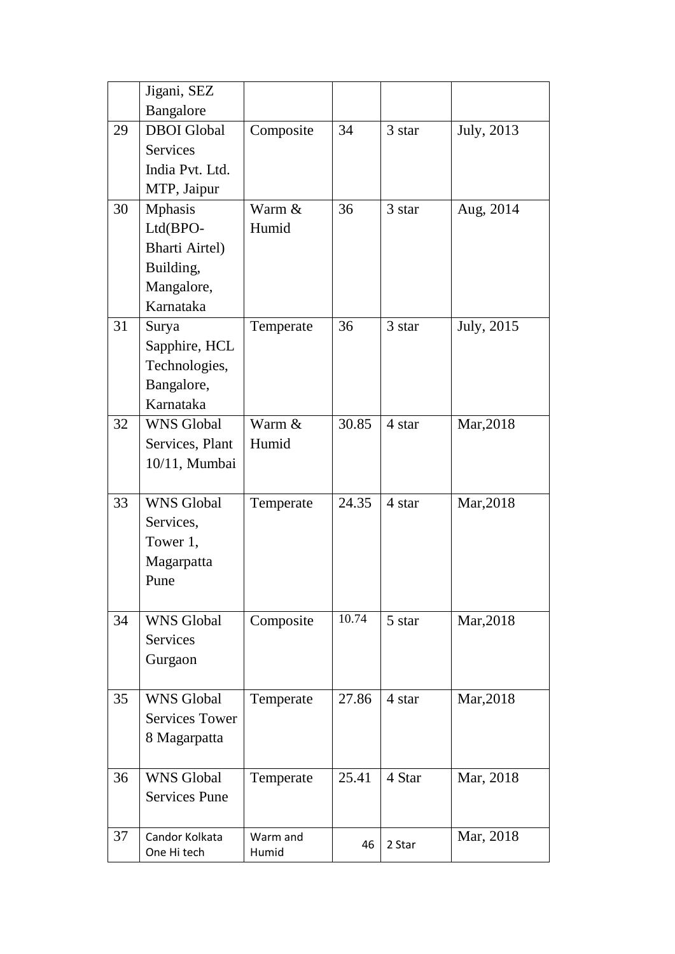|    | Jigani, SEZ                   |                   |       |        |            |
|----|-------------------------------|-------------------|-------|--------|------------|
|    | Bangalore                     |                   |       |        |            |
| 29 | <b>DBOI</b> Global            | Composite         | 34    | 3 star | July, 2013 |
|    | <b>Services</b>               |                   |       |        |            |
|    | India Pvt. Ltd.               |                   |       |        |            |
|    | MTP, Jaipur                   |                   |       |        |            |
| 30 | <b>Mphasis</b>                | Warm &            | 36    | 3 star | Aug, 2014  |
|    | Ltd(BPO-                      | Humid             |       |        |            |
|    | <b>Bharti Airtel)</b>         |                   |       |        |            |
|    | Building,                     |                   |       |        |            |
|    | Mangalore,                    |                   |       |        |            |
|    | Karnataka                     |                   |       |        |            |
| 31 | Surya                         | Temperate         | 36    | 3 star | July, 2015 |
|    | Sapphire, HCL                 |                   |       |        |            |
|    | Technologies,                 |                   |       |        |            |
|    | Bangalore,                    |                   |       |        |            |
|    | Karnataka                     |                   |       |        |            |
| 32 | <b>WNS Global</b>             | Warm &            | 30.85 | 4 star | Mar, 2018  |
|    | Services, Plant               | Humid             |       |        |            |
|    | 10/11, Mumbai                 |                   |       |        |            |
|    |                               |                   |       |        |            |
| 33 | <b>WNS Global</b>             | Temperate         | 24.35 | 4 star | Mar, 2018  |
|    | Services,                     |                   |       |        |            |
|    | Tower 1,                      |                   |       |        |            |
|    | Magarpatta                    |                   |       |        |            |
|    | Pune                          |                   |       |        |            |
|    |                               |                   |       |        |            |
| 34 | <b>WNS Global</b>             | Composite         | 10.74 | 5 star | Mar, 2018  |
|    | Services                      |                   |       |        |            |
|    | Gurgaon                       |                   |       |        |            |
|    |                               |                   |       |        |            |
| 35 | <b>WNS Global</b>             | Temperate         | 27.86 | 4 star | Mar, 2018  |
|    | <b>Services Tower</b>         |                   |       |        |            |
|    | 8 Magarpatta                  |                   |       |        |            |
|    |                               |                   |       |        |            |
| 36 | <b>WNS Global</b>             | Temperate         | 25.41 | 4 Star | Mar, 2018  |
|    | <b>Services Pune</b>          |                   |       |        |            |
|    |                               |                   |       |        |            |
| 37 | Candor Kolkata<br>One Hi tech | Warm and<br>Humid | 46    | 2 Star | Mar, 2018  |
|    |                               |                   |       |        |            |